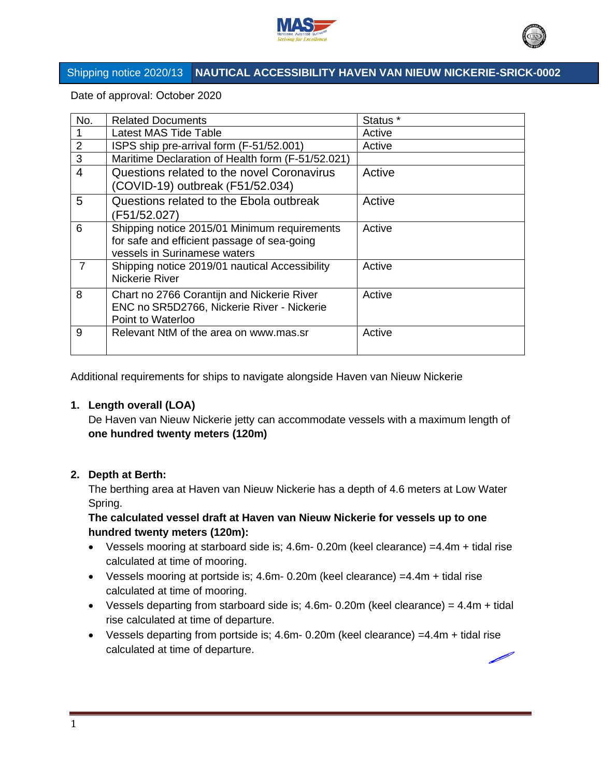



# Shipping notice 2020/13 **NAUTICAL ACCESSIBILITY HAVEN VAN NIEUW NICKERIE-SRICK-0002**

Date of approval: October 2020

| No.            | <b>Related Documents</b>                          | Status * |
|----------------|---------------------------------------------------|----------|
| 1              | <b>Latest MAS Tide Table</b>                      | Active   |
| $\overline{2}$ | ISPS ship pre-arrival form (F-51/52.001)          | Active   |
| 3              | Maritime Declaration of Health form (F-51/52.021) |          |
| $\overline{4}$ | Questions related to the novel Coronavirus        | Active   |
|                | (COVID-19) outbreak (F51/52.034)                  |          |
| 5              | Questions related to the Ebola outbreak           | Active   |
|                | (F51/52.027)                                      |          |
| 6              | Shipping notice 2015/01 Minimum requirements      | Active   |
|                | for safe and efficient passage of sea-going       |          |
|                | vessels in Surinamese waters                      |          |
| 7              | Shipping notice 2019/01 nautical Accessibility    | Active   |
|                | Nickerie River                                    |          |
| 8              | Chart no 2766 Corantijn and Nickerie River        | Active   |
|                | ENC no SR5D2766, Nickerie River - Nickerie        |          |
|                | Point to Waterloo                                 |          |
| 9              | Relevant NtM of the area on www.mas.sr            | Active   |
|                |                                                   |          |

Additional requirements for ships to navigate alongside Haven van Nieuw Nickerie

## **1. Length overall (LOA)**

De Haven van Nieuw Nickerie jetty can accommodate vessels with a maximum length of **one hundred twenty meters (120m)**

## **2. Depth at Berth:**

The berthing area at Haven van Nieuw Nickerie has a depth of 4.6 meters at Low Water Spring.

## **The calculated vessel draft at Haven van Nieuw Nickerie for vessels up to one hundred twenty meters (120m):**

- Vessels mooring at starboard side is; 4.6m- 0.20m (keel clearance) =4.4m + tidal rise calculated at time of mooring.
- Vessels mooring at portside is; 4.6m- 0.20m (keel clearance) =4.4m + tidal rise calculated at time of mooring.
- Vessels departing from starboard side is;  $4.6m 0.20m$  (keel clearance) =  $4.4m +$  tidal rise calculated at time of departure.
- Vessels departing from portside is; 4.6m- 0.20m (keel clearance) =4.4m + tidal rise calculated at time of departure.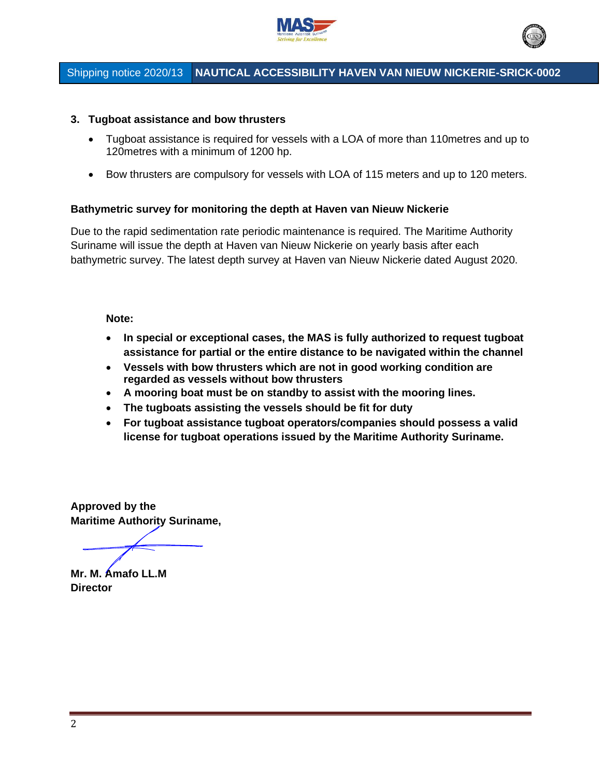



# Shipping notice 2020/13 **NAUTICAL ACCESSIBILITY HAVEN VAN NIEUW NICKERIE-SRICK-0002**

#### **3. Tugboat assistance and bow thrusters**

- Tugboat assistance is required for vessels with a LOA of more than 110metres and up to 120metres with a minimum of 1200 hp.
- Bow thrusters are compulsory for vessels with LOA of 115 meters and up to 120 meters.

#### **Bathymetric survey for monitoring the depth at Haven van Nieuw Nickerie**

Due to the rapid sedimentation rate periodic maintenance is required. The Maritime Authority Suriname will issue the depth at Haven van Nieuw Nickerie on yearly basis after each bathymetric survey. The latest depth survey at Haven van Nieuw Nickerie dated August 2020.

#### **Note:**

- **In special or exceptional cases, the MAS is fully authorized to request tugboat assistance for partial or the entire distance to be navigated within the channel**
- **Vessels with bow thrusters which are not in good working condition are regarded as vessels without bow thrusters**
- **A mooring boat must be on standby to assist with the mooring lines.**
- **The tugboats assisting the vessels should be fit for duty**
- **For tugboat assistance tugboat operators/companies should possess a valid license for tugboat operations issued by the Maritime Authority Suriname.**

**Approved by the Maritime Authority Suriname,**

**Mr. M. Amafo LL.M Director**